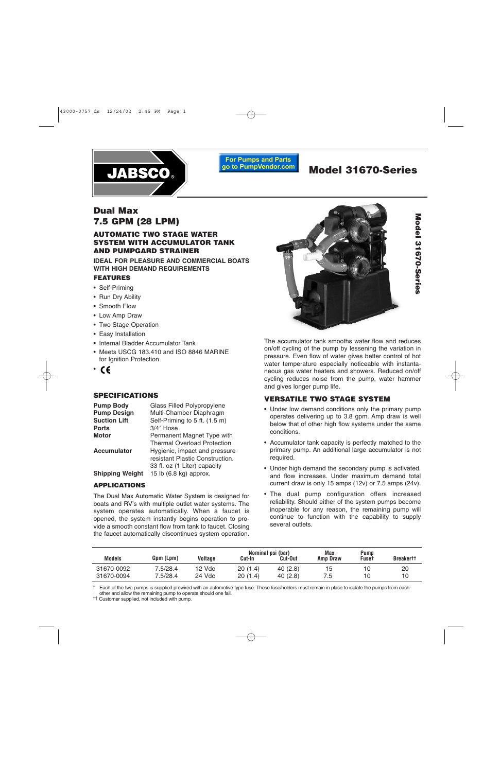

**For Pumps and Parts** go to PumpVendor.com

# **Model 31670-Series**

**Model 31670-Series**

Model 31670-Series

## **Dual Max 7.5 GPM (28 LPM)**

## **AUTOMATIC TWO STAGE WATER SYSTEM WITH ACCUMULATOR TANK AND PUMPGARD STRAINER**

**IDEAL FOR PLEASURE AND COMMERCIAL BOATS WITH HIGH DEMAND REQUIREMENTS**

### **FEATURES**

- Self-Priming
- Run Dry Ability
- Smooth Flow
- Low Amp Draw
- Two Stage Operation
- Easy Installation
- Internal Bladder Accumulator Tank
- Meets USCG 183.410 and ISO 8846 MARINE for Ignition Protection
- •

## **SPECIFICATIONS**

| <b>Pump Body</b>       | Glass Filled Polypropylene         |
|------------------------|------------------------------------|
| <b>Pump Design</b>     | Multi-Chamber Diaphragm            |
| <b>Suction Lift</b>    | Self-Priming to 5 ft. (1.5 m)      |
| <b>Ports</b>           | $3/4$ " Hose                       |
| <b>Motor</b>           | Permanent Magnet Type with         |
|                        | <b>Thermal Overload Protection</b> |
| <b>Accumulator</b>     | Hygienic, impact and pressure      |
|                        | resistant Plastic Construction.    |
|                        | 33 fl. oz (1 Liter) capacity       |
| <b>Shipping Weight</b> | 15 lb (6.8 kg) approx.             |

## **APPLICATIONS**

The Dual Max Automatic Water System is designed for boats and RV's with multiple outlet water systems. The system operates automatically. When a faucet is opened, the system instantly begins operation to provide a smooth constant flow from tank to faucet. Closing the faucet automatically discontinues system operation.



The accumulator tank smooths water flow and reduces on/off cycling of the pump by lessening the variation in pressure. Even flow of water gives better control of hot water temperature especially noticeable with instantaneous gas water heaters and showers. Reduced on/off cycling reduces noise from the pump, water hammer and gives longer pump life.

## **VERSATILE TWO STAGE SYSTEM**

- Under low demand conditions only the primary pump operates delivering up to 3.8 gpm. Amp draw is well below that of other high flow systems under the same conditions.
- Accumulator tank capacity is perfectly matched to the primary pump. An additional large accumulator is not required.
- Under high demand the secondary pump is activated. and flow increases. Under maximum demand total current draw is only 15 amps (12v) or 7.5 amps (24v).
- The dual pump configuration offers increased reliability. Should either of the system pumps become inoperable for any reason, the remaining pump will continue to function with the capability to supply several outlets.

| <b>Models</b> | Gpm (Lpm) | Voltage | Cut-In  | Nominal psi (bar)<br>Cut-Out | Max<br>Amp Draw | <b>Pump</b><br><b>Fuse</b> t | <b>Breakertt</b> |
|---------------|-----------|---------|---------|------------------------------|-----------------|------------------------------|------------------|
| 31670-0092    | 7.5/28.4  | 12 Vdc  | 20(1.4) | 40(2.8)                      | 15              | 10                           | 20               |
| 31670-0094    | 7.5/28.4  | 24 Vdc  | 20(1.4) | 40(2.8)                      | 7.5             | 10                           | 10               |

† Each of the two pumps is supplied prewired with an automotive type fuse. These fuse/holders must remain in place to isolate the pumps from each other and allow the remaining pump to operate should one fail.

†† Customer supplied, not included with pump.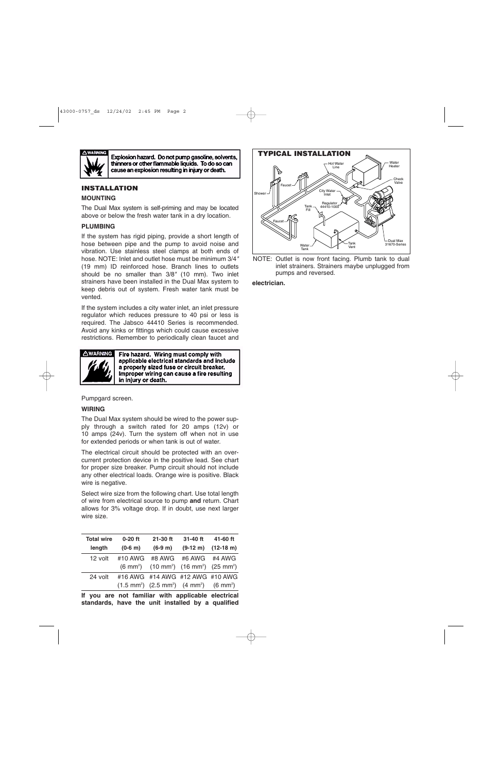

Explosion hazard. Do not pump gasoline, solvents, thinners or other flammable liquids. To do so can cause an explosion resulting in injury or death.

## **INSTALLATION**

#### **MOUNTING**

The Dual Max system is self-priming and may be located above or below the fresh water tank in a dry location.

#### **PLUMBING**

If the system has rigid piping, provide a short length of hose between pipe and the pump to avoid noise and vibration. Use stainless steel clamps at both ends of hose. NOTE: Inlet and outlet hose must be minimum 3/4*"* (19 mm) ID reinforced hose. Branch lines to outlets should be no smaller than 3/8*"* (10 mm). Two inlet strainers have been installed in the Dual Max system to keep debris out of system. Fresh water tank must be vented.

If the system includes a city water inlet, an inlet pressure regulator which reduces pressure to 40 psi or less is required. The Jabsco 44410 Series is recommended. Avoid any kinks or fittings which could cause excessive restrictions. Remember to periodically clean faucet and



Fire hazard. Wiring must comply with applicable electrical standards and include a properly sized fuse or circuit breaker. Improper wiring can cause a fire resulting in injury or death.

Pumpgard screen.

#### **WIRING**

The Dual Max system should be wired to the power supply through a switch rated for 20 amps (12v) or 10 amps (24v). Turn the system off when not in use for extended periods or when tank is out of water.

The electrical circuit should be protected with an overcurrent protection device in the positive lead. See chart for proper size breaker. Pump circuit should not include any other electrical loads. Orange wire is positive. Black wire is negative.

Select wire size from the following chart. Use total length of wire from electrical source to pump **and** return. Chart allows for 3% voltage drop. If in doubt, use next larger wire size.

| <b>Total wire</b> | $0-20$ ft           | $21-30$ ft                                                                      | 31-40 ft 41-60 ft    |                                        |
|-------------------|---------------------|---------------------------------------------------------------------------------|----------------------|----------------------------------------|
| length            | $(0-6 \; \text{m})$ | $(6-9m)$                                                                        |                      | $(9-12 \text{ m})$ $(12-18 \text{ m})$ |
| 12 volt           | $#10$ AWG           |                                                                                 | #8 AWG #6 AWG #4 AWG |                                        |
|                   |                     | $(6 \text{ mm}^2)$ $(10 \text{ mm}^2)$ $(16 \text{ mm}^2)$ $(25 \text{ mm}^2)$  |                      |                                        |
| 24 volt           |                     | #16 AWG #14 AWG #12 AWG #10 AWG                                                 |                      |                                        |
|                   |                     | $(1.5 \text{ mm}^2)$ $(2.5 \text{ mm}^2)$ $(4 \text{ mm}^2)$ $(6 \text{ mm}^2)$ |                      |                                        |
|                   |                     |                                                                                 |                      |                                        |

**If you are not familiar with applicable electrical standards, have the unit installed by a qualified** 



NOTE: Outlet is now front facing. Plumb tank to dual inlet strainers. Strainers maybe unplugged from pumps and reversed.

#### **electrician.**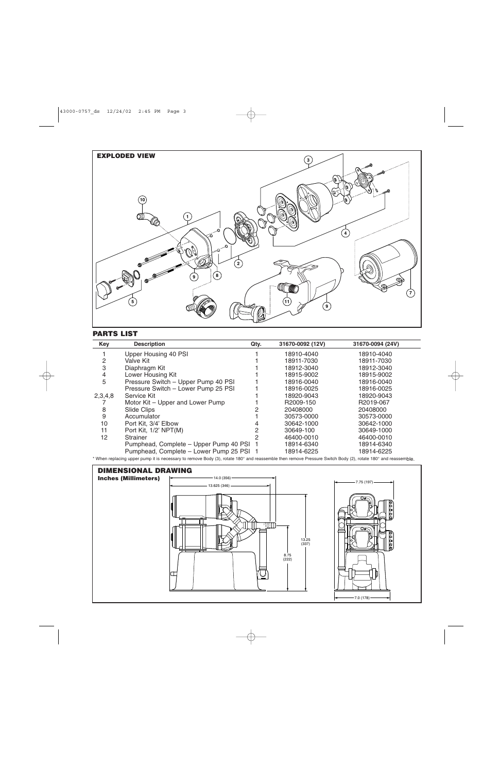

## **PARTS LIST**

| Key     | <b>Description</b>                       | Qty. | 31670-0092 (12V) | 31670-0094 (24V) |
|---------|------------------------------------------|------|------------------|------------------|
|         | Upper Housing 40 PSI                     |      | 18910-4040       | 18910-4040       |
| 2       | Valve Kit                                |      | 18911-7030       | 18911-7030       |
| 3       | Diaphragm Kit                            |      | 18912-3040       | 18912-3040       |
| 4       | Lower Housing Kit                        |      | 18915-9002       | 18915-9002       |
| 5       | Pressure Switch - Upper Pump 40 PSI      |      | 18916-0040       | 18916-0040       |
|         | Pressure Switch - Lower Pump 25 PSI      |      | 18916-0025       | 18916-0025       |
| 2,3,4,8 | Service Kit                              |      | 18920-9043       | 18920-9043       |
|         | Motor Kit - Upper and Lower Pump         |      | R2009-150        | R2019-067        |
| 8       | Slide Clips                              |      | 20408000         | 20408000         |
| 9       | Accumulator                              |      | 30573-0000       | 30573-0000       |
| 10      | Port Kit, 3/4' Elbow                     |      | 30642-1000       | 30642-1000       |
| 11      | Port Kit, 1/2' NPT(M)                    | 2    | 30649-100        | 30649-1000       |
| 12      | <b>Strainer</b>                          |      | 46400-0010       | 46400-0010       |
|         | Pumphead, Complete - Upper Pump 40 PSI 1 |      | 18914-6340       | 18914-6340       |
|         | Pumphead, Complete - Lower Pump 25 PSI 1 |      | 18914-6225       | 18914-6225       |